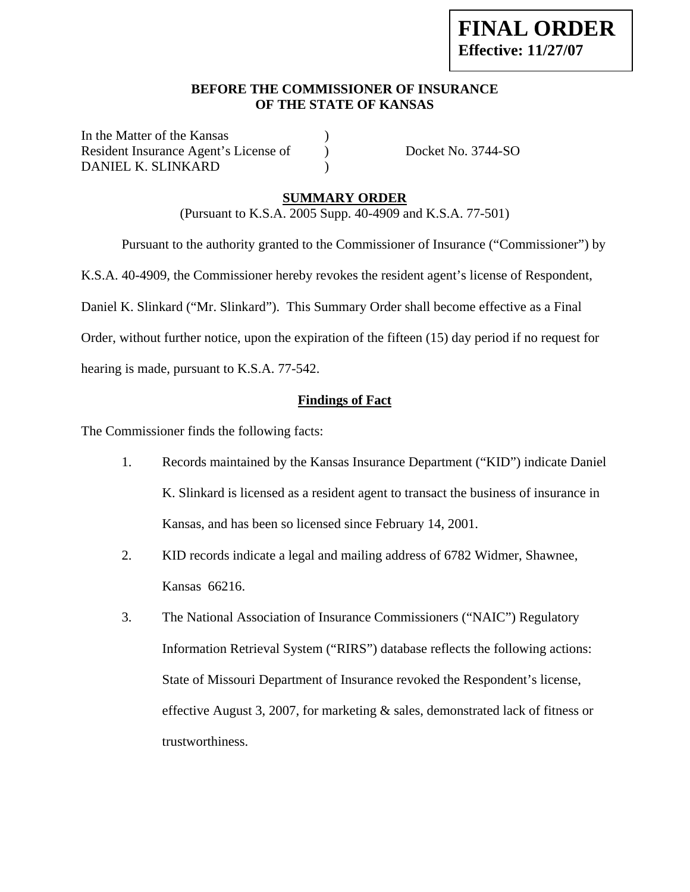# **FINAL ORDER Effective: 11/27/07**

#### **BEFORE THE COMMISSIONER OF INSURANCE OF THE STATE OF KANSAS**

In the Matter of the Kansas Resident Insurance Agent's License of ) Docket No. 3744-SO DANIEL K. SLINKARD )

#### **SUMMARY ORDER**

(Pursuant to K.S.A. 2005 Supp. 40-4909 and K.S.A. 77-501)

Pursuant to the authority granted to the Commissioner of Insurance ("Commissioner") by

K.S.A. 40-4909, the Commissioner hereby revokes the resident agent's license of Respondent,

Daniel K. Slinkard ("Mr. Slinkard"). This Summary Order shall become effective as a Final

Order, without further notice, upon the expiration of the fifteen (15) day period if no request for

hearing is made, pursuant to K.S.A. 77-542.

#### **Findings of Fact**

The Commissioner finds the following facts:

- 1. Records maintained by the Kansas Insurance Department ("KID") indicate Daniel K. Slinkard is licensed as a resident agent to transact the business of insurance in Kansas, and has been so licensed since February 14, 2001.
- 2. KID records indicate a legal and mailing address of 6782 Widmer, Shawnee, Kansas 66216.
- 3. The National Association of Insurance Commissioners ("NAIC") Regulatory Information Retrieval System ("RIRS") database reflects the following actions: State of Missouri Department of Insurance revoked the Respondent's license, effective August 3, 2007, for marketing & sales, demonstrated lack of fitness or trustworthiness.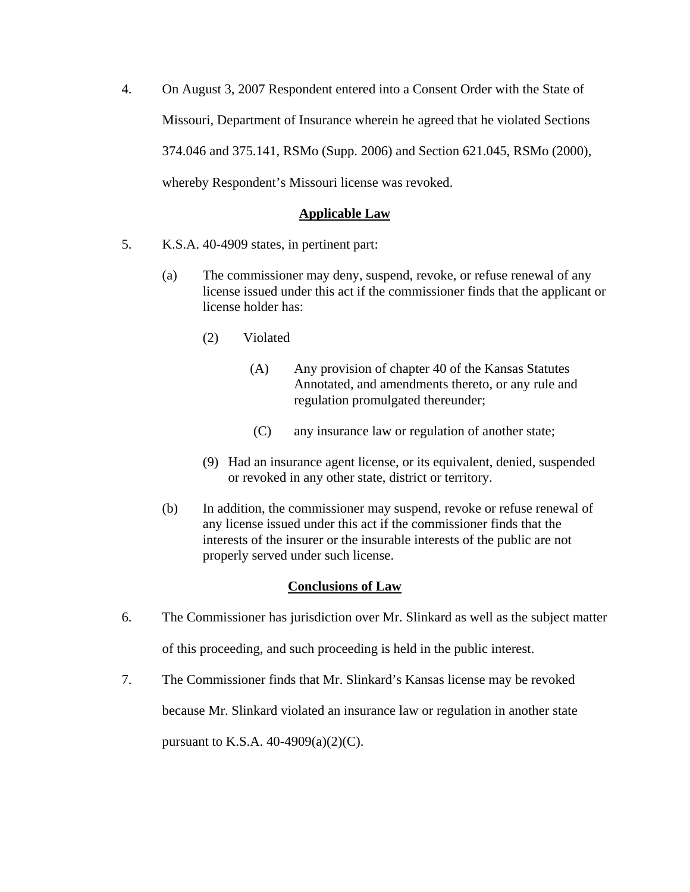4. On August 3, 2007 Respondent entered into a Consent Order with the State of Missouri, Department of Insurance wherein he agreed that he violated Sections 374.046 and 375.141, RSMo (Supp. 2006) and Section 621.045, RSMo (2000), whereby Respondent's Missouri license was revoked.

## **Applicable Law**

- 5. K.S.A. 40-4909 states, in pertinent part:
	- (a) The commissioner may deny, suspend, revoke, or refuse renewal of any license issued under this act if the commissioner finds that the applicant or license holder has:
		- (2) Violated
			- (A) Any provision of chapter 40 of the Kansas Statutes Annotated, and amendments thereto, or any rule and regulation promulgated thereunder;
			- (C) any insurance law or regulation of another state;
		- (9) Had an insurance agent license, or its equivalent, denied, suspended or revoked in any other state, district or territory.
	- (b) In addition, the commissioner may suspend, revoke or refuse renewal of any license issued under this act if the commissioner finds that the interests of the insurer or the insurable interests of the public are not properly served under such license.

## **Conclusions of Law**

- 6. The Commissioner has jurisdiction over Mr. Slinkard as well as the subject matter of this proceeding, and such proceeding is held in the public interest.
- 7. The Commissioner finds that Mr. Slinkard's Kansas license may be revoked because Mr. Slinkard violated an insurance law or regulation in another state

pursuant to K.S.A.  $40-4909(a)(2)(C)$ .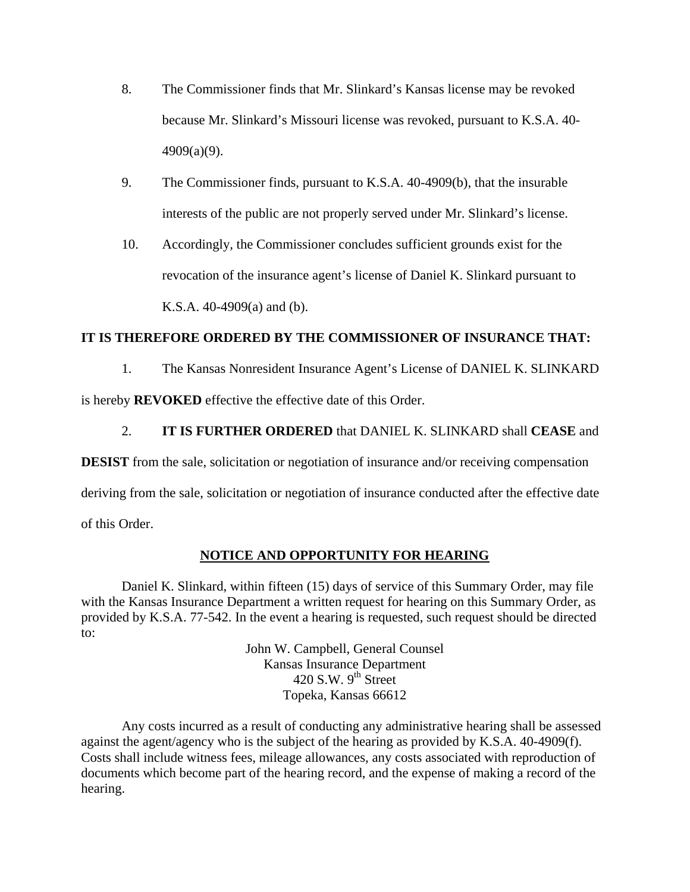- 8. The Commissioner finds that Mr. Slinkard's Kansas license may be revoked because Mr. Slinkard's Missouri license was revoked, pursuant to K.S.A. 40- 4909(a)(9).
- 9. The Commissioner finds, pursuant to K.S.A. 40-4909(b), that the insurable interests of the public are not properly served under Mr. Slinkard's license.
- 10. Accordingly, the Commissioner concludes sufficient grounds exist for the revocation of the insurance agent's license of Daniel K. Slinkard pursuant to K.S.A. 40-4909(a) and (b).

## **IT IS THEREFORE ORDERED BY THE COMMISSIONER OF INSURANCE THAT:**

1. The Kansas Nonresident Insurance Agent's License of DANIEL K. SLINKARD

is hereby **REVOKED** effective the effective date of this Order.

# 2. **IT IS FURTHER ORDERED** that DANIEL K. SLINKARD shall **CEASE** and

**DESIST** from the sale, solicitation or negotiation of insurance and/or receiving compensation

deriving from the sale, solicitation or negotiation of insurance conducted after the effective date

of this Order.

# **NOTICE AND OPPORTUNITY FOR HEARING**

Daniel K. Slinkard, within fifteen (15) days of service of this Summary Order, may file with the Kansas Insurance Department a written request for hearing on this Summary Order, as provided by K.S.A. 77-542. In the event a hearing is requested, such request should be directed to:

> John W. Campbell, General Counsel Kansas Insurance Department  $420$  S.W.  $9<sup>th</sup>$  Street Topeka, Kansas 66612

Any costs incurred as a result of conducting any administrative hearing shall be assessed against the agent/agency who is the subject of the hearing as provided by K.S.A. 40-4909(f). Costs shall include witness fees, mileage allowances, any costs associated with reproduction of documents which become part of the hearing record, and the expense of making a record of the hearing.